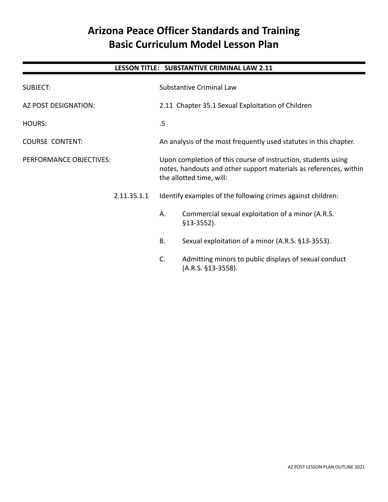# **Arizona Peace Officer Standards and Training Basic Curriculum Model Lesson Plan**

# **LESSON TITLE: SUBSTANTIVE CRIMINAL LAW 2.11**

| SUBJECT:                                                           |             | <b>Substantive Criminal Law</b>                                                                                                                                |                                                                             |
|--------------------------------------------------------------------|-------------|----------------------------------------------------------------------------------------------------------------------------------------------------------------|-----------------------------------------------------------------------------|
| AZ POST DESIGNATION:                                               |             |                                                                                                                                                                | 2.11 Chapter 35.1 Sexual Exploitation of Children                           |
| <b>HOURS:</b><br><b>COURSE CONTENT:</b><br>PERFORMANCE OBJECTIVES: |             | .5                                                                                                                                                             |                                                                             |
|                                                                    |             | An analysis of the most frequently used statutes in this chapter.                                                                                              |                                                                             |
|                                                                    |             | Upon completion of this course of instruction, students using<br>notes, handouts and other support materials as references, within<br>the allotted time, will: |                                                                             |
|                                                                    | 2.11.35.1.1 | Identify examples of the following crimes against children:                                                                                                    |                                                                             |
|                                                                    |             | Α.                                                                                                                                                             | Commercial sexual exploitation of a minor (A.R.S.<br>$$13-3552$ ).          |
|                                                                    |             | <b>B.</b>                                                                                                                                                      | Sexual exploitation of a minor (A.R.S. §13-3553).                           |
|                                                                    |             | C.                                                                                                                                                             | Admitting minors to public displays of sexual conduct<br>(A.R.S. §13-3558). |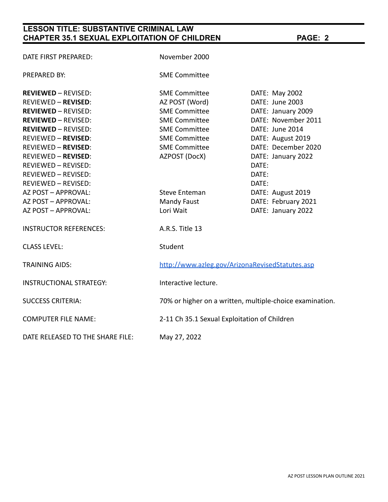# **LESSON TITLE: SUBSTANTIVE CRIMINAL LAW CHAPTER 35.1 SEXUAL EXPLOITATION OF CHILDREN PAGE: 2**

| DATE FIRST PREPARED:             | November 2000                                            |                                              |  |  |
|----------------------------------|----------------------------------------------------------|----------------------------------------------|--|--|
| PREPARED BY:                     | <b>SME Committee</b>                                     |                                              |  |  |
| <b>REVIEWED - REVISED:</b>       | <b>SME Committee</b>                                     | DATE: May 2002                               |  |  |
| <b>REVIEWED - REVISED:</b>       | AZ POST (Word)                                           | DATE: June 2003                              |  |  |
| <b>REVIEWED - REVISED:</b>       | <b>SME Committee</b>                                     | DATE: January 2009                           |  |  |
| <b>REVIEWED - REVISED:</b>       | <b>SME Committee</b>                                     | DATE: November 2011                          |  |  |
| <b>REVIEWED - REVISED:</b>       | <b>SME Committee</b>                                     | DATE: June 2014                              |  |  |
| <b>REVIEWED - REVISED:</b>       | <b>SME Committee</b>                                     | DATE: August 2019                            |  |  |
| <b>REVIEWED - REVISED:</b>       | <b>SME Committee</b>                                     | DATE: December 2020                          |  |  |
| <b>REVIEWED - REVISED:</b>       | AZPOST (DocX)                                            | DATE: January 2022                           |  |  |
| REVIEWED - REVISED:              |                                                          | DATE:                                        |  |  |
| REVIEWED - REVISED:              |                                                          | DATE:                                        |  |  |
| REVIEWED - REVISED:              |                                                          | DATE:                                        |  |  |
| AZ POST - APPROVAL:              | <b>Steve Enteman</b>                                     | DATE: August 2019                            |  |  |
| AZ POST - APPROVAL:              | Mandy Faust                                              | DATE: February 2021                          |  |  |
| AZ POST - APPROVAL:              | Lori Wait                                                | DATE: January 2022                           |  |  |
| <b>INSTRUCTOR REFERENCES:</b>    | A.R.S. Title 13                                          |                                              |  |  |
| <b>CLASS LEVEL:</b>              | Student                                                  |                                              |  |  |
| <b>TRAINING AIDS:</b>            | http://www.azleg.gov/ArizonaRevisedStatutes.asp          |                                              |  |  |
| <b>INSTRUCTIONAL STRATEGY:</b>   | Interactive lecture.                                     |                                              |  |  |
| <b>SUCCESS CRITERIA:</b>         | 70% or higher on a written, multiple-choice examination. |                                              |  |  |
| <b>COMPUTER FILE NAME:</b>       |                                                          | 2-11 Ch 35.1 Sexual Exploitation of Children |  |  |
| DATE RELEASED TO THE SHARE FILE: | May 27, 2022                                             |                                              |  |  |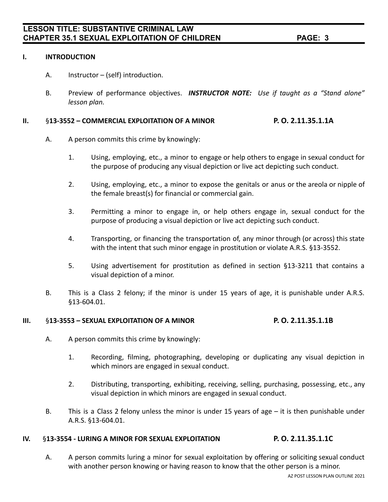#### **I. INTRODUCTION**

- A. Instructor (self) introduction.
- B. Preview of performance objectives. *INSTRUCTOR NOTE: Use if taught as a "Stand alone" lesson plan.*

#### **II.** §**13-3552 – COMMERCIAL EXPLOITATION OF A MINOR P. O. 2.11.35.1.1A**

- A. A person commits this crime by knowingly:
	- 1. Using, employing, etc., a minor to engage or help others to engage in sexual conduct for the purpose of producing any visual depiction or live act depicting such conduct.
	- 2. Using, employing, etc., a minor to expose the genitals or anus or the areola or nipple of the female breast(s) for financial or commercial gain.
	- 3. Permitting a minor to engage in, or help others engage in, sexual conduct for the purpose of producing a visual depiction or live act depicting such conduct.
	- 4. Transporting, or financing the transportation of, any minor through (or across) this state with the intent that such minor engage in prostitution or violate A.R.S. §13-3552.
	- 5. Using advertisement for prostitution as defined in section §13-3211 that contains a visual depiction of a minor.
- B. This is a Class 2 felony; if the minor is under 15 years of age, it is punishable under A.R.S. §13-604.01.

#### **III.** §**13-3553 – SEXUAL EXPLOITATION OF A MINOR P. O. 2.11.35.1.1B**

- A. A person commits this crime by knowingly:
	- 1. Recording, filming, photographing, developing or duplicating any visual depiction in which minors are engaged in sexual conduct.
	- 2. Distributing, transporting, exhibiting, receiving, selling, purchasing, possessing, etc., any visual depiction in which minors are engaged in sexual conduct.
- B. This is a Class 2 felony unless the minor is under 15 years of age it is then punishable under A.R.S. §13-604.01.

## **IV.** §**13-3554 - LURING A MINOR FOR SEXUAL EXPLOITATION P. O. 2.11.35.1.1C**

A. A person commits luring a minor for sexual exploitation by offering or soliciting sexual conduct with another person knowing or having reason to know that the other person is a minor.